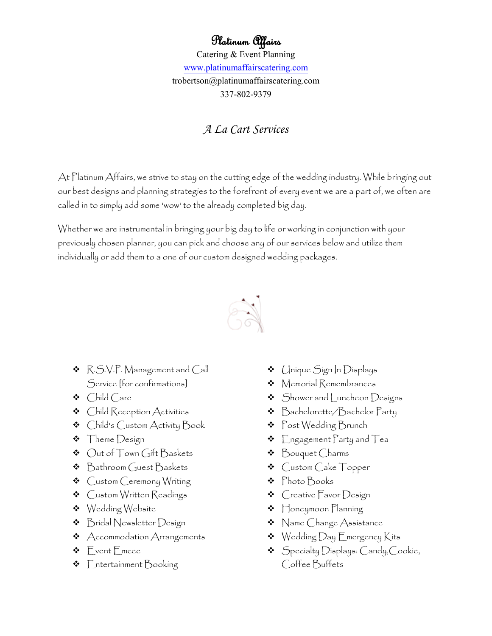## Platinum Affairs

Catering & Event Planning [www.platinumaffairscatering.com](http://www.platinumaffairscatering.com/) trobertson@platinumaffairscatering.com 337-802-9379

## *A La Cart Services*

At Platinum Affairs, we strive to stay on the cutting edge of the wedding industry. While bringing out our best designs and planning strategies to the forefront of every event we are a part of, we often are called in to simply add some 'wow' to the already completed big day.

Whether we are instrumental in bringing your big day to life or working in conjunction with your previously chosen planner, you can pick and choose any of our services below and utilize them individually or add them to a one of our custom designed wedding packages.



- R.S.V.P. Management and Call Service [for confirmations]
- Child Care
- Child Reception Activities
- Child's Custom Activity Book
- **\*** Theme Design
- Out of Town Gift Baskets
- ❖ Bathroom Guest Baskets
- Custom Ceremony Writing
- **\*** Custom Written Readings
- Wedding Website
- **\*** Bridal Newsletter Design
- $\triangleleft$  Accommodation Arrangements
- Event Emcee
- $\triangleleft$  Entertainment Booking
- Unique Sign In Displays
- Memorial Remembrances
- $\triangleleft$  Shower and Luncheon Designs
- Bachelorette/Bachelor Party
- Post Wedding Brunch
- $\triangleleft$  Engagement Party and Tea
- Bouquet Charms
- Custom Cake Topper
- Photo Books
- Creative Favor Design
- $\triangleleft$  Honeymoon Planning
- **\*** Name Change Assistance
- $\triangleleft$  Wedding Day Emergency Kits
- $\bullet$  Specialty Displays: Candy, Cookie, Coffee Buffets